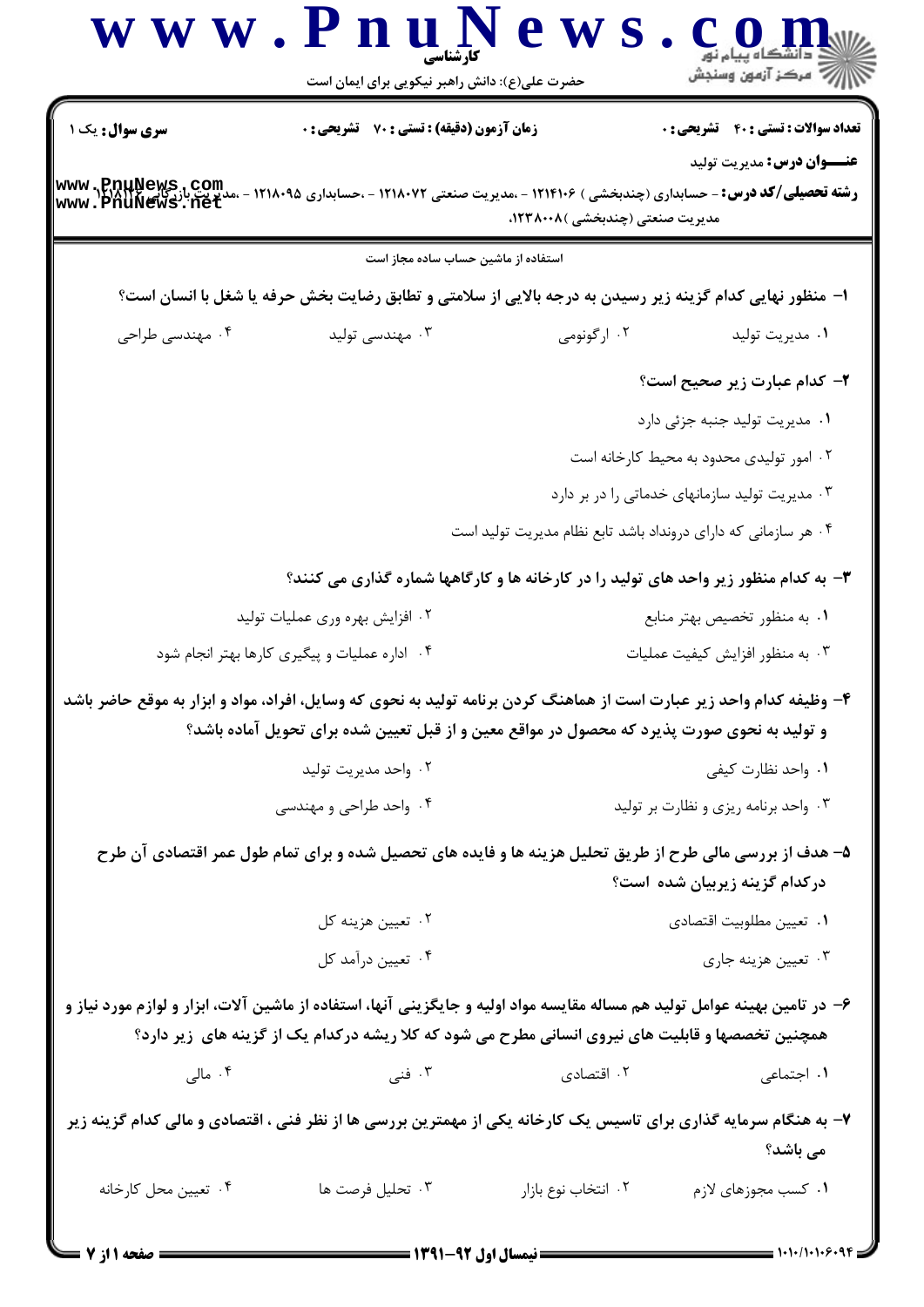| سری سوال: یک ۱                     | <b>زمان آزمون (دقیقه) : تستی : 70 ٪ تشریحی : 0</b>                                                                                                                                                                             |                                                                | <b>تعداد سوالات : تستی : 40 قشریحی : 0</b>     |
|------------------------------------|--------------------------------------------------------------------------------------------------------------------------------------------------------------------------------------------------------------------------------|----------------------------------------------------------------|------------------------------------------------|
| www.RRHNews.com<br>www.PnuNews.net | <b>رشته تحصیلی/کد درس: -</b> حسابداری (چندبخشی ) ۱۲۱۴۱۰۶ - ،مدیریت صنعتی ۱۲۱۸۰۷۲ - ،حسابداری ۱۲۱۸۰۹۵                                                                                                                           | مدیریت صنعتی (چندبخشی )۲۳۸۰۰۸،                                 | <b>عنـــوان درس:</b> مديريت توليد              |
|                                    | استفاده از ماشین حساب ساده مجاز است                                                                                                                                                                                            |                                                                |                                                |
|                                    | ا- منظور نهایی کدام گزینه زیر رسیدن به درجه بالایی از سلامتی و تطابق رضایت بخش حرفه یا شغل با انسان است؟                                                                                                                       |                                                                |                                                |
| ۰۴ مهندسی طراحی                    | ۰۳ مهندسی تولید                                                                                                                                                                                                                | ۰۲ ارگونومی                                                    | ۰۱ مدیریت تولید                                |
|                                    |                                                                                                                                                                                                                                |                                                                | ۲- کدام عبارت زیر صحیح است؟                    |
|                                    |                                                                                                                                                                                                                                |                                                                | ۰۱ مدیریت تولید جنبه جزئی دارد                 |
|                                    |                                                                                                                                                                                                                                |                                                                | ۰۲ امور تولیدی محدود به محیط کارخانه است       |
|                                    |                                                                                                                                                                                                                                |                                                                | ۰۳ مدیریت تولید سازمانهای خدماتی را در بر دارد |
|                                    |                                                                                                                                                                                                                                | ۰۴ هر سازمانی که دارای درونداد باشد تابع نظام مدیریت تولید است |                                                |
|                                    | ۳- به کدام منظور زیر واحد های تولید را در کارخانه ها و کارگاهها شماره گذاری می کنند؟                                                                                                                                           |                                                                |                                                |
|                                    | ۰۲ افزایش بهره وری عملیات تولید                                                                                                                                                                                                |                                                                | ۰۱ به منظور تخصیص بهتر منابع                   |
|                                    | ۰۴ اداره عملیات و پیگیری کارها بهتر انجام شود                                                                                                                                                                                  |                                                                | ۰۳ به منظور افزايش كيفيت عمليات                |
|                                    | ۴- وظیفه کدام واحد زیر عبارت است از هماهنگ کردن برنامه تولید به نحوی که وسایل، افراد، مواد و ابزار به موقع حاضر باشد<br>و تولید به نحوی صورت پذیرد که محصول در مواقع معین و از قبل تعیین شده برای تحویل آماده باشد؟            |                                                                |                                                |
|                                    | ۰۲ واحد مديريت توليد                                                                                                                                                                                                           |                                                                | ٠١. واحد نظارت كيفي                            |
|                                    | ۰۴ واحد طراحی و مهندسی                                                                                                                                                                                                         |                                                                | ۰۳ واحد برنامه ریزی و نظارت بر تولید           |
|                                    | ۵– هدف از بررسی مالی طرح از طریق تحلیل هزینه ها و فایده های تحصیل شده و برای تمام طول عمر اقتصادی آن طرح                                                                                                                       |                                                                | درکدام گزینه زیربیان شده است؟                  |
|                                    | ۰۲ تعیین هزینه کل                                                                                                                                                                                                              |                                                                | ٠١ تعيين مطلوبيت اقتصادي                       |
|                                    | ۰۴ تعيين درأمد كل                                                                                                                                                                                                              |                                                                | ۰۳ تعيين هزينه جاري                            |
|                                    | ۶– در تامین بهینه عوامل تولید هم مساله مقایسه مواد اولیه و جایگزینی آنها، استفاده از ماشین آلات، ابزار و لوازم مورد نیاز و<br>همچنین تخصصها و قابلیت های نیروی انسانی مطرح می شود که کلا ریشه درکدام یک از گزینه های زیر دارد؟ |                                                                |                                                |
|                                    | . فنى $\mathfrak{r}$                                                                                                                                                                                                           | ۰۲ اقتصادی                                                     | ٠١. اجتماعي                                    |
| ۰۴ مالی                            |                                                                                                                                                                                                                                |                                                                |                                                |
|                                    | ۷- به هنگام سرمایه گذاری برای تاسیس یک کارخانه یکی از مهمترین بررسی ها از نظر فنی ، اقتصادی و مالی کدام گزینه زیر                                                                                                              |                                                                | می باشد؟                                       |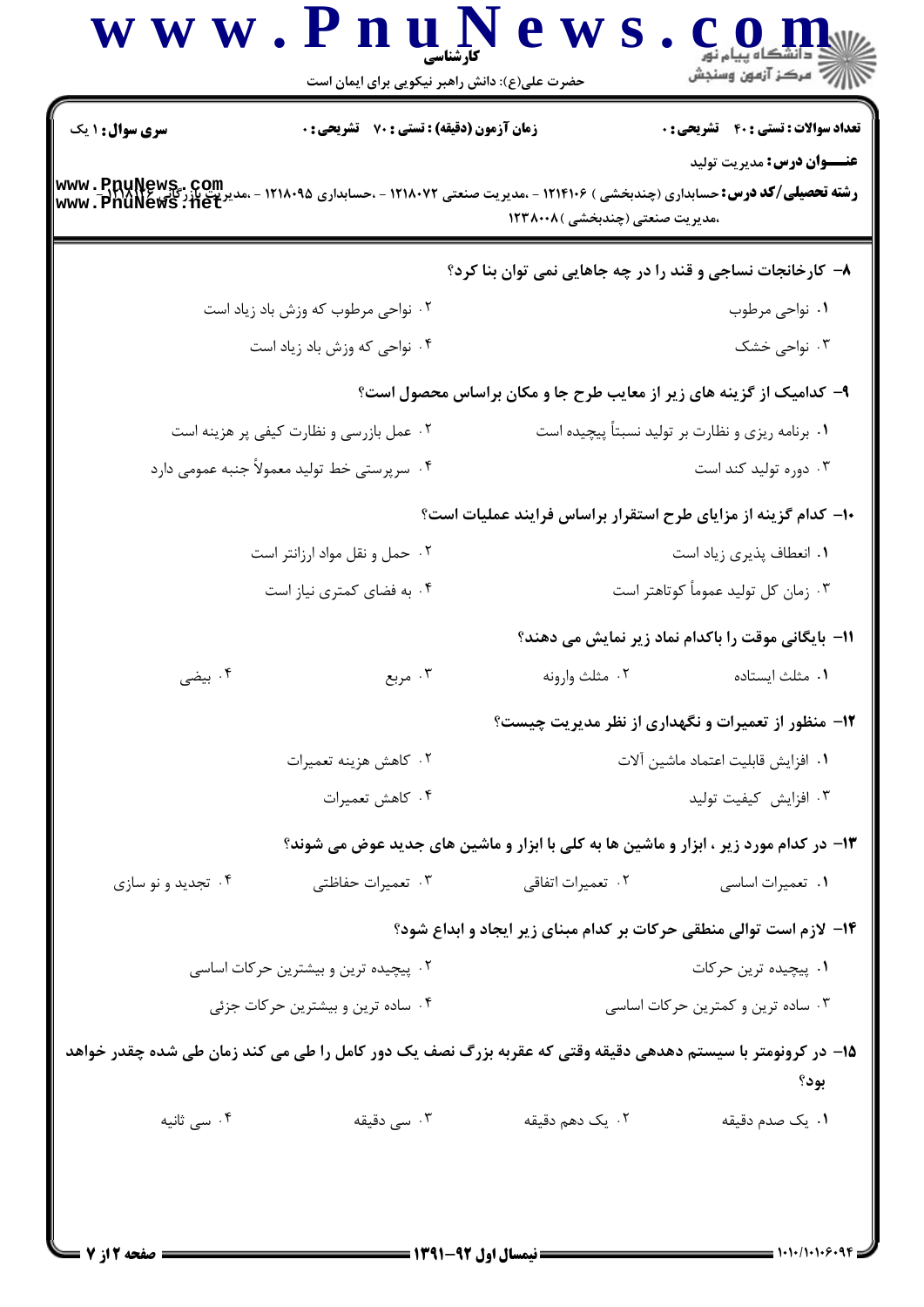| سری سوال : ۱ یک    | زمان آزمون (دقیقه) : تستی : 70 ٪ تشریحی : 0                                                                 |                                                                     | <b>تعداد سوالات : تستی : 40 ٪ تشریحی : 0</b>       |
|--------------------|-------------------------------------------------------------------------------------------------------------|---------------------------------------------------------------------|----------------------------------------------------|
| www.PnuNews.com    | <b>رشته تحصیلی/کد درس:</b> حسابداری (چندبخشی ) ۱۲۱۴۱۰۶ - ،مدیریت صنعتی ۱۲۱۸۰۷۲ - ،حسابداری ۱۲۱۸۰۹۵          | ،مدیریت صنعتی (چندبخشی )۱۲۳۸۰۰۸                                     | <b>عنـــوان درس:</b> مديريت توليد                  |
|                    |                                                                                                             | ۸- کارخانجات نساجی و قند را در چه جاهایی نمی توان بنا کرد؟          |                                                    |
|                    | ۰۲ نواحی مرطوب که وزش باد زیاد است                                                                          |                                                                     | ۰۱ نواحی مرطوب                                     |
|                    | ۰۴ نواحی که وزش باد زیاد است                                                                                |                                                                     | ۰۳ نواحی خشک                                       |
|                    |                                                                                                             | ۹- کدامیک از گزینه های زیر از معایب طرح جا و مکان براساس محصول است؟ |                                                    |
|                    | ۰۲ عمل بازرسی و نظارت کیفی پر هزینه است                                                                     |                                                                     | ۰۱ برنامه ریزی و نظارت بر تولید نسبتاً پیچیده است  |
|                    | ۰۴ سرپرستی خط تولید معمولاً جنبه عمومی دارد                                                                 |                                                                     | ۰۳ دوره تولید کند است                              |
|                    |                                                                                                             | ۱۰– کدام گزینه از مزایای طرح استقرار براساس فرایند عملیات است؟      |                                                    |
|                    | ۰۲ حمل و نقل مواد ارزانتر است                                                                               |                                                                     | ٠١ انعطاف پذيري زياد است                           |
|                    | ۰۴ به فضای کمتری نیاز است                                                                                   |                                                                     | ۰۳ زمان کل تولید عموماً کوتاهتر است                |
|                    |                                                                                                             |                                                                     | 11- بایگانی موقت را باکدام نماد زیر نمایش می دهند؟ |
| ۰۴ بیضی            | ۰۳ مربع                                                                                                     | ۰۲ مثلث وارونه                                                      | ٠١ مثلث ايستاده                                    |
|                    |                                                                                                             | ۱۲- منظور از تعمیرات و نگهداری از نظر مدیریت چیست؟                  |                                                    |
|                    | ۰۲ كاهش هزينه تعميرات                                                                                       |                                                                     | ٠١ افزايش قابليت اعتماد ماشين آلات                 |
|                    | ۰۴ كاهش تعميرات                                                                                             |                                                                     | ٠٣ افزايش كيفيت توليد                              |
|                    | ۱۳- در کدام مورد زیر ، ابزار و ماشین ها به کلی با ابزار و ماشین های جدید عوض می شوند؟                       |                                                                     |                                                    |
| ۰۴ تجدید و نو سازی | ۰۳ تعمیرات حفاظتی                                                                                           | ۰۲ تعمیرات اتفاقی                                                   | ۰۱ تعمیرات اساسی                                   |
|                    |                                                                                                             | ۱۴- لازم است توالی منطقی حرکات بر کدام مبنای زیر ایجاد و ابداع شود؟ |                                                    |
|                    | ۰۲ پیچیده ترین و بیشترین حرکات اساسی                                                                        | ۰۱ پیچیده ترین حرکات                                                |                                                    |
|                    | ۰۴ ساده ترین و بیشترین حرکات جزئی                                                                           |                                                                     | ۰۳ ساده ترین و کمترین حرکات اساسی                  |
|                    | ۱۵– در کرونومتر با سیستم دهدهی دقیقه وقتی که عقربه بزرگ نصف یک دور کامل را طی می کند زمان طی شده چقدر خواهد |                                                                     | بود؟                                               |
| ۰۴ سی ثانیه        | ۰۳ سی دقیقه                                                                                                 | ۲. یک دهم دقیقه                                                     | ۰۱ یک صدم دقیقه                                    |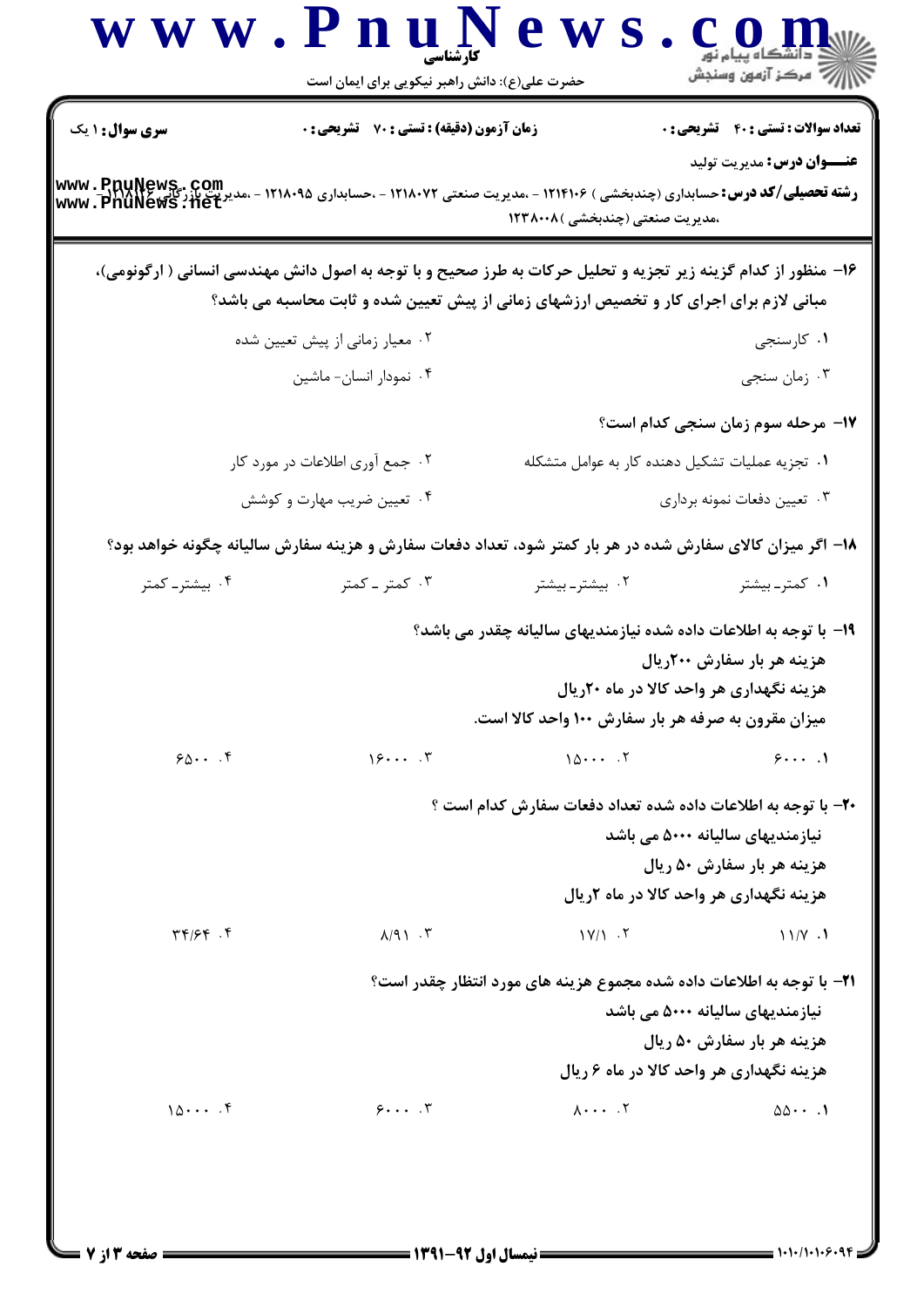|                              | حضرت علی(ع): دانش راهبر نیکویی برای ایمان است                                                                                                                                                            | www.PnuNew                                                                                                               | أأأأ عركز آزمون وسنجش                                                                                      |
|------------------------------|----------------------------------------------------------------------------------------------------------------------------------------------------------------------------------------------------------|--------------------------------------------------------------------------------------------------------------------------|------------------------------------------------------------------------------------------------------------|
| <b>سری سوال : ۱ یک</b>       | <b>زمان آزمون (دقیقه) : تستی : 70 قشریحی : 0</b>                                                                                                                                                         |                                                                                                                          | <b>تعداد سوالات : تستی : 40 قشریحی : 0</b>                                                                 |
| www.PnuNews.com              | <b>رشته تحصیلی/کد درس:</b> حسابداری (چندبخشی ) ۱۲۱۴۱۰۶ - ،مدیریت صنعتی <b>۱۲۱۸۰۷۲ - ،حسابداری ۱۲۱۸۰۹۵</b>                                                                                                | ،مدیریت صنعتی (چندبخشی )۱۲۳۸۰۰۸                                                                                          | <b>عنـــوان درس:</b> مديريت توليد                                                                          |
|                              | ۱۶– منظور از کدام گزینه زیر تجزیه و تحلیل حرکات به طرز صحیح و با توجه به اصول دانش مهندسی انسانی ( ارگونومی)،<br>مبانی لازم برای اجرای کار و تخصیص ارزشهای زمانی از پیش تعیین شده و ثابت محاسبه می باشد؟ |                                                                                                                          |                                                                                                            |
|                              | ۰۲ معیار زمانی از پیش تعیین شده                                                                                                                                                                          |                                                                                                                          | ۰۱ کارسنجی                                                                                                 |
|                              | ۰۴ نمودار انسان- ماشين                                                                                                                                                                                   |                                                                                                                          | ۰۳ زمان سنجي                                                                                               |
|                              |                                                                                                                                                                                                          |                                                                                                                          | 17- مرحله سوم زمان سنجی کدام است؟                                                                          |
|                              | ۰۲ جمع آوری اطلاعات در مورد کار                                                                                                                                                                          |                                                                                                                          | ٠١. تجزيه عمليات تشكيل دهنده كار به عوامل متشكله                                                           |
|                              | ۰۴ تعیین ضریب مهارت و کوشش                                                                                                                                                                               |                                                                                                                          | ۰۳ تعيين دفعات نمونه برداري                                                                                |
|                              | ۱۸– اگر میزان کالای سفارش شده در هر بار کمتر شود، تعداد دفعات سفارش و هزینه سفارش سالیانه چگونه خواهد بود؟                                                                                               |                                                                                                                          |                                                                                                            |
| ۰۴ بیشتر۔ کمتر               | ۰۳ کمتر ـ کمتر                                                                                                                                                                                           | ۰۲ بیشتر۔بیشتر                                                                                                           | ۰۱ کمتر۔بیشتر                                                                                              |
|                              |                                                                                                                                                                                                          | ۱۹- با توجه به اطلاعات داده شده نیازمندیهای سالیانه چقدر می باشد؟<br>میزان مقرون به صرفه هر بار سفارش ۱۰۰ واحد کالا است. | هزینه هر بار سفارش ۲۰۰ریال<br>هزینه نگهداری هر واحد کالا در ماه ۲۰ریال                                     |
| $90 \cdots$ . $9$            | 15                                                                                                                                                                                                       | 107                                                                                                                      | 91                                                                                                         |
|                              |                                                                                                                                                                                                          | <b>۲۰</b> - با توجه به اطلاعات داده شده تعداد دفعات سفارش کدام است ؟                                                     | نیازمندیهای سالیانه ۵۰۰۰ مے، باشد<br>هزینه هر بار سفارش ۵۰ ریال<br>هزینه نگهداری هر واحد کالا در ماه ۲ریال |
| $\mathbf{y} \in \mathcal{S}$ | $\lambda$ /9) $\cdot$ $\cdot$                                                                                                                                                                            | $\mathcal{N}/\mathcal{N}$ . Y                                                                                            | 11/Y.1                                                                                                     |
|                              |                                                                                                                                                                                                          | <b>۲۱</b> - با توجه به اطلاعات داده شده مجموع هزینه های مورد انتظار چقدر است؟                                            | نیازمندیهای سالیانه ۵۰۰۰ می باشد<br>هزينه هر بار سفارش ۵۰ ريال<br>هزینه نگهداری هر واحد کالا در ماه ۶ ریال |
| 10                           | $9 \cdots$                                                                                                                                                                                               | $\lambda \cdots$ . $\zeta$                                                                                               | $\Delta \Delta \cdot \cdot \cdot$ .                                                                        |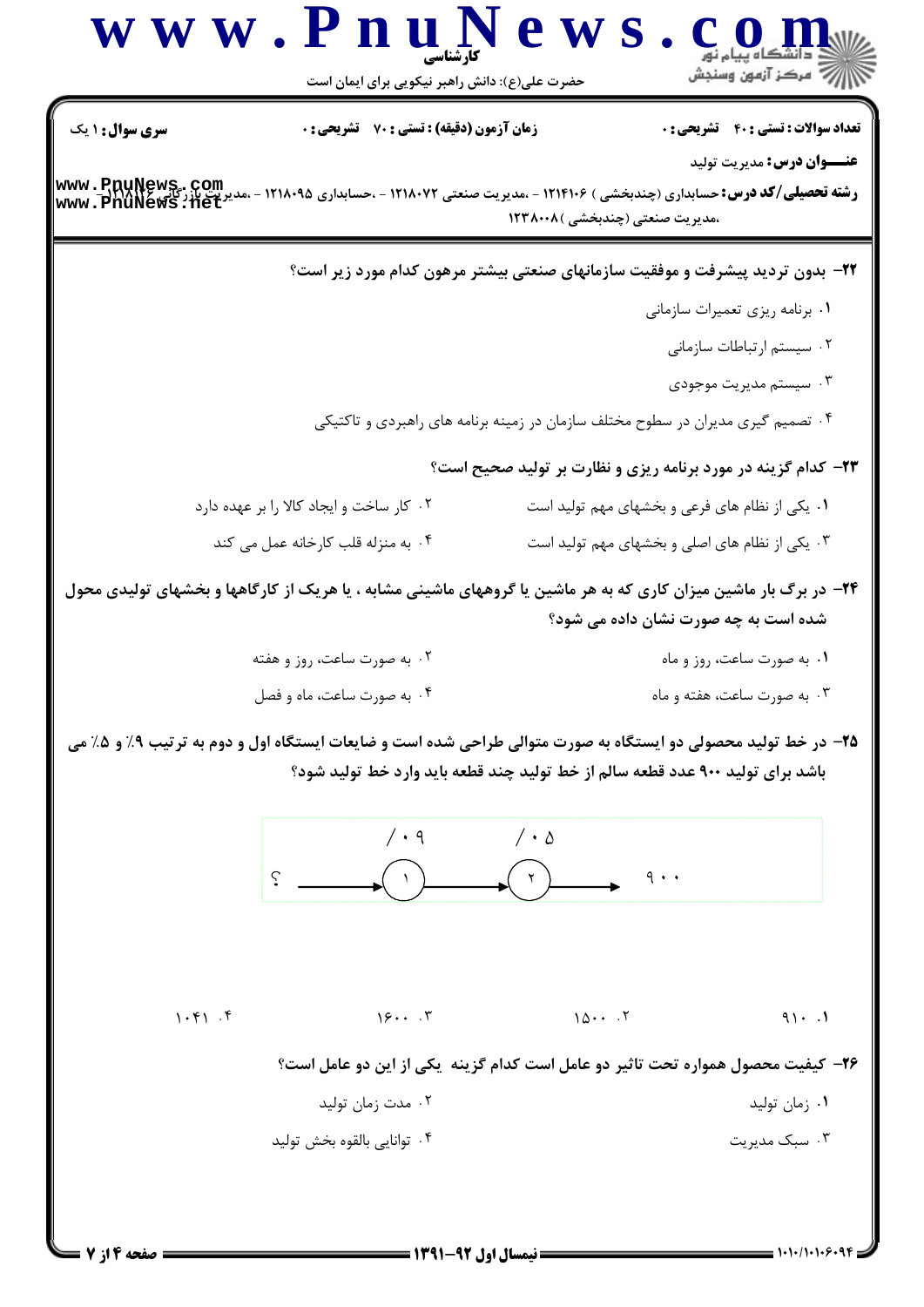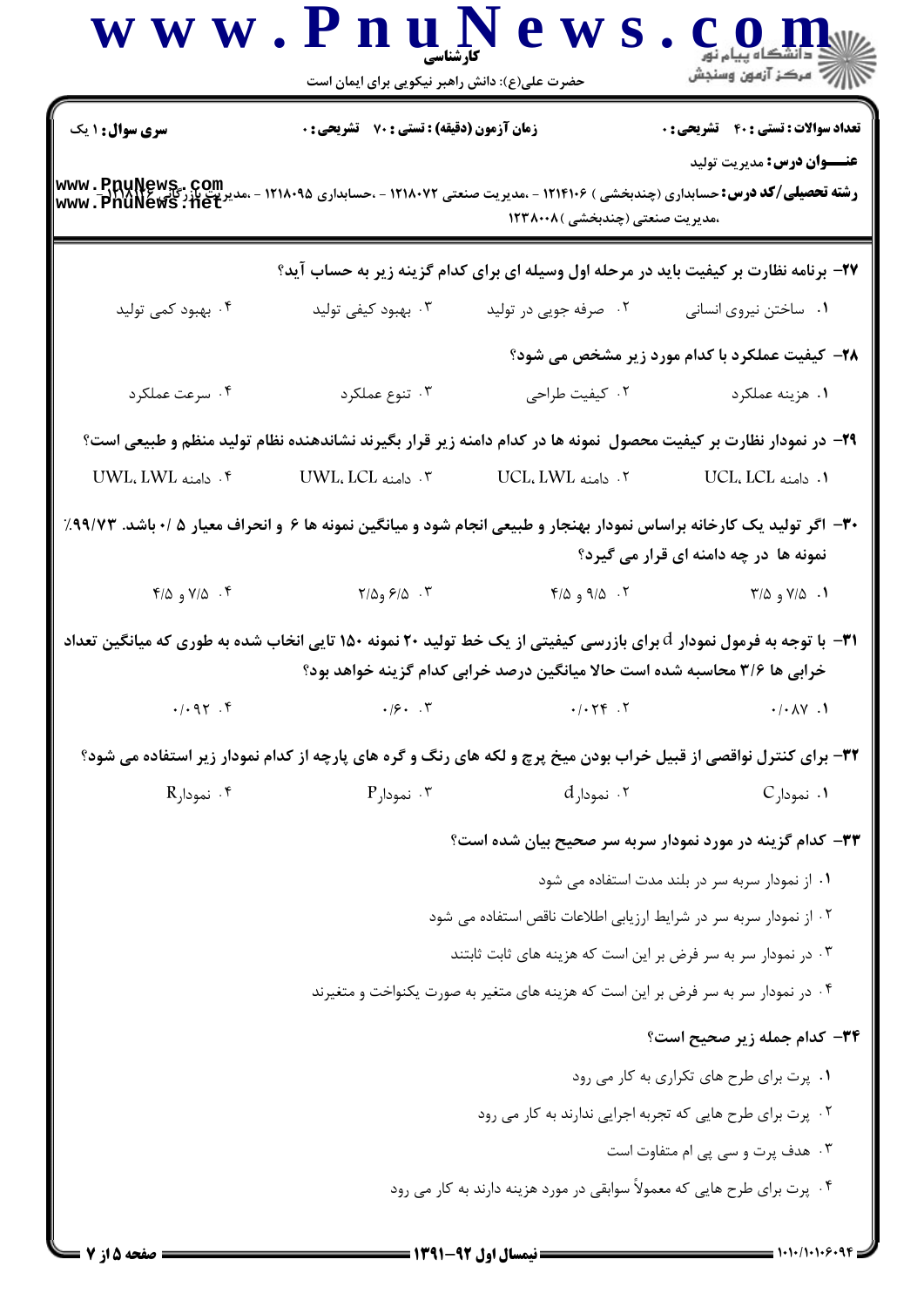|                        | حضرت علی(ع): دانش راهبر نیکویی برای ایمان است                                                                                                  |                                                                                   |                                                                                       |
|------------------------|------------------------------------------------------------------------------------------------------------------------------------------------|-----------------------------------------------------------------------------------|---------------------------------------------------------------------------------------|
| <b>سری سوال :</b> ۱ یک | زمان آزمون (دقیقه) : تستی : 70 گشریحی : 0                                                                                                      |                                                                                   | <b>تعداد سوالات : تستی : 40 - تشریحی : 0</b>                                          |
|                        | <b>رشته تحصیلی/کد درس:</b> حسابداری (چندبخشی ) ۱۲۱۴۱۰۶ - ،مدیریت صنعتی ۱۲۱۸۰۷۲ - ،حسابداری ۱۲۱۸۰۹۵ - ،مدیریت بازرگانیکی<br>www . PnuNews . net | ،مدیریت صنعتی (چندبخشی )۱۲۳۸۰۰۸                                                   | <b>عنـــوان درس:</b> مدیریت تولید                                                     |
|                        |                                                                                                                                                |                                                                                   | ۲۷- برنامه نظارت بر کیفیت باید در مرحله اول وسیله ای برای کدام گزینه زیر به حساب آید؟ |
| ۰۴ بهبود کمی تولید     | ۰۳ بهبود کیفی تولید                                                                                                                            | ۰۲ صرفه جویی در تولید                                                             | ٠١ ساختن نيروى انسانى                                                                 |
|                        |                                                                                                                                                |                                                                                   | <b>38- کیفیت عملکرد با کدام مورد زیر مشخص می شود</b> ؟                                |
| ۰۴ سرعت عملکرد         | ۰۳ تنوع عملکرد                                                                                                                                 | ٠٢ كيفيت طراحي                                                                    | ۰۱ هزینه عملکرد                                                                       |
|                        | ۲۹- در نمودار نظارت بر کیفیت محصول نمونه ها در کدام دامنه زیر قرار بگیرند نشاندهنده نظام تولید منظم و طبیعی است؟                               |                                                                                   |                                                                                       |
| t . دامنه UWL، LWL .   | ۰۳ دامنه UWL، LCL ۲                                                                                                                            | ۲. دامنه UCL، LWL .                                                               | ا. دامنه UCL، LCL .                                                                   |
|                        | ۳۰– اگر تولید یک کارخانه براساس نمودار بهنجار و طبیعی انجام شود و میانگین نمونه ها ۶ و انحراف معیار ۵ /۰ باشد. ۹۹/۷۳٪                          |                                                                                   | نمونه ها در چه دامنه ای قرار می گیرد؟                                                 |
|                        |                                                                                                                                                |                                                                                   |                                                                                       |
|                        | ۰۳ <i>۶۱</i> ۵ و۲/۵ میلم ۲۰۱۹ و ۲/۵ و ۴/۵                                                                                                      | ۴/۵ و ۶/۵ $\lambda$                                                               | $Y/\Delta$ و ۲/۵                                                                      |
|                        | ۳۱−  با توجه به فرمول نمودار d برای بازرسی کیفیتی از یک خط تولید ۲۰ نمونه ۱۵۰ تایی انخاب شده به طوری که میانگین تعداد                          | خرابی ها ۳/۶ محاسبه شده است حالا میانگین درصد خرابی کدام گزینه خواهد بود؟         |                                                                                       |
| .497.9                 | .19.1                                                                                                                                          | .1.74.7                                                                           | $\cdot/\cdot \wedge \vee \cdot \wedge$                                                |
|                        | 33- برای کنترل نواقصی از قبیل خراب بودن میخ پرچ و لکه های رنگ و گره های پارچه از کدام نمودار زیر استفاده می شود؟                               |                                                                                   |                                                                                       |
| ۴. نمودارR             | $P$ نمودار $\cdot$ ۳                                                                                                                           | ۰۲ نمودارd                                                                        | ۰۱ نمودارC                                                                            |
|                        |                                                                                                                                                |                                                                                   | ۳۳– کدام گزینه در مورد نمودار سربه سر صحیح بیان شده است؟                              |
|                        |                                                                                                                                                |                                                                                   | ۰۱ از نمودار سربه سر در بلند مدت استفاده می شود                                       |
|                        |                                                                                                                                                | ۰۲ از نمودار سربه سر در شرایط ارزیابی اطلاعات ناقص استفاده می شود                 |                                                                                       |
|                        |                                                                                                                                                | ۰۳ در نمودار سر به سر فرض بر این است که هزینه های ثابت ثابتند                     |                                                                                       |
|                        |                                                                                                                                                | ۰۴ در نمودار سر به سر فرض بر این است که هزینه های متغیر به صورت یکنواخت و متغیرند |                                                                                       |
|                        |                                                                                                                                                |                                                                                   |                                                                                       |
|                        |                                                                                                                                                |                                                                                   | ۳۴- کدام جمله زیر صحیح است؟<br>٠١. پرت برای طرح های تکراری به کار می رود              |
|                        |                                                                                                                                                |                                                                                   | ۰۲ پرت برای طرح هایی که تجربه اجرایی ندارند به کار می رود                             |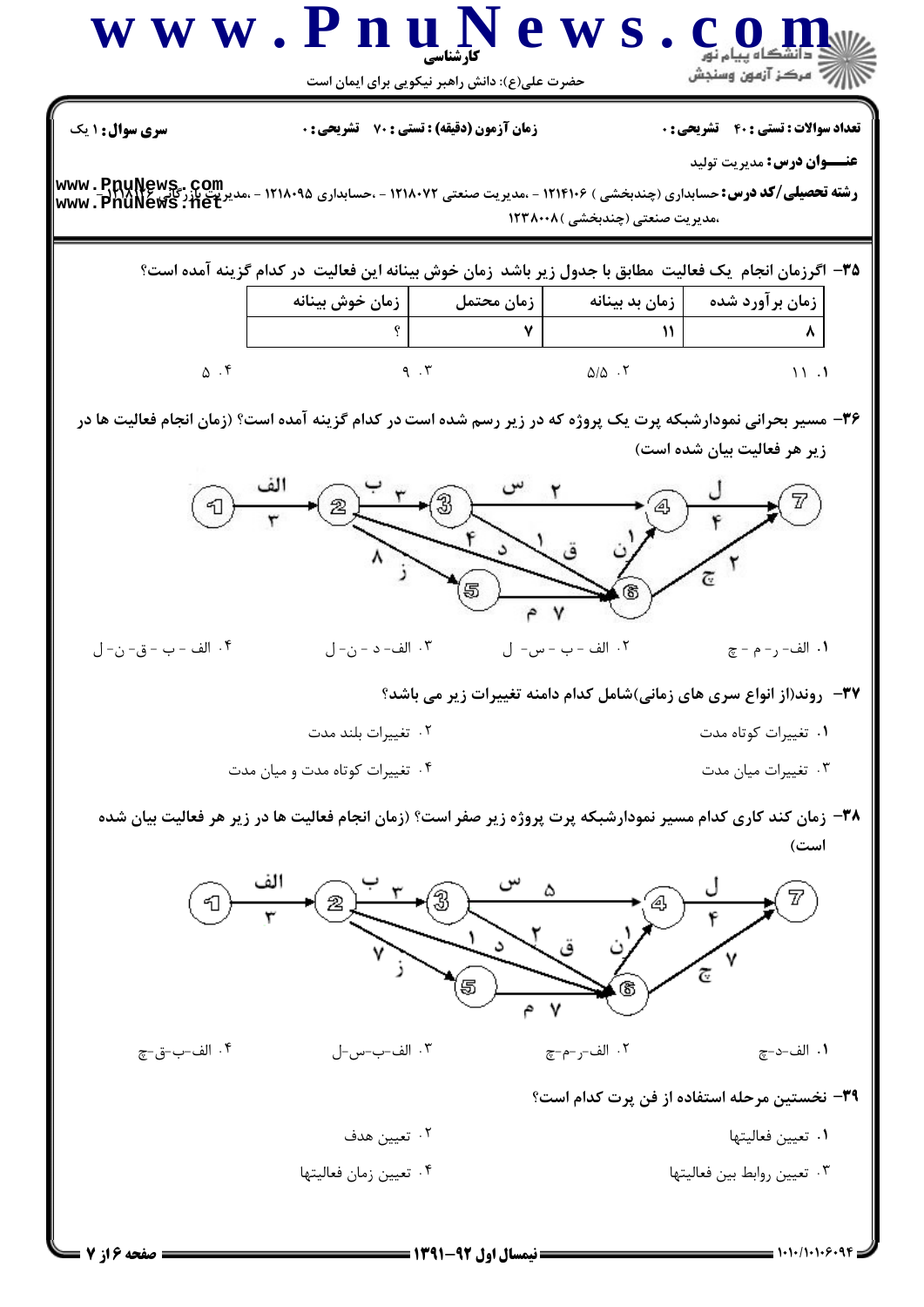